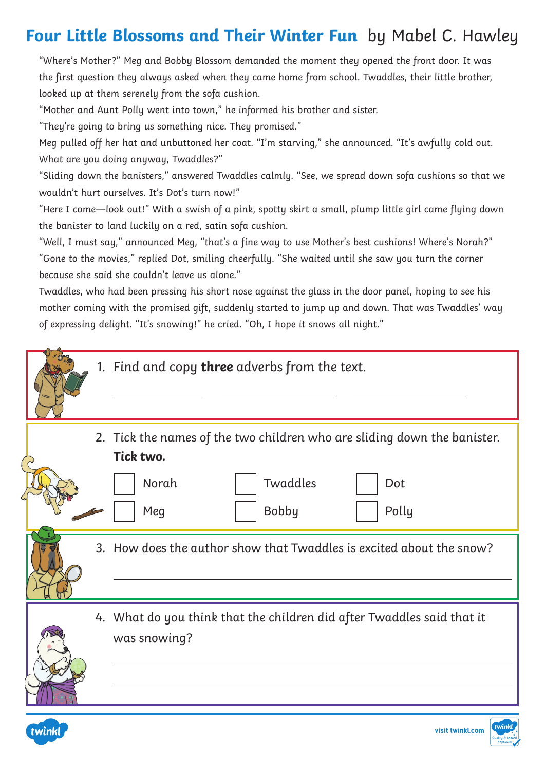## **Four Little Blossoms and Their Winter Fun** by Mabel C. Hawley

"Where's Mother?" Meg and Bobby Blossom demanded the moment they opened the front door. It was the first question they always asked when they came home from school. Twaddles, their little brother, looked up at them serenely from the sofa cushion.

"Mother and Aunt Polly went into town," he informed his brother and sister.

"They're going to bring us something nice. They promised."

twinkl

Meg pulled off her hat and unbuttoned her coat. "I'm starving," she announced. "It's awfully cold out. What are you doing anyway, Twaddles?"

"Sliding down the banisters," answered Twaddles calmly. "See, we spread down sofa cushions so that we wouldn't hurt ourselves. It's Dot's turn now!"

"Here I come—look out!" With a swish of a pink, spotty skirt a small, plump little girl came flying down the banister to land luckily on a red, satin sofa cushion.

"Well, I must say," announced Meg, "that's a fine way to use Mother's best cushions! Where's Norah?" "Gone to the movies," replied Dot, smiling cheerfully. "She waited until she saw you turn the corner because she said she couldn't leave us alone."

Twaddles, who had been pressing his short nose against the glass in the door panel, hoping to see his mother coming with the promised gift, suddenly started to jump up and down. That was Twaddles' way of expressing delight. "It's snowing!" he cried. "Oh, I hope it snows all night."

|  | 1. Find and copy three adverbs from the text.                                                                                                     |
|--|---------------------------------------------------------------------------------------------------------------------------------------------------|
|  | 2. Tick the names of the two children who are sliding down the banister.<br>Tick two.<br>Twaddles<br>Norah<br>Dot<br><b>Bobby</b><br>Polly<br>Meg |
|  | 3. How does the author show that Twaddles is excited about the snow?                                                                              |
|  | 4. What do you think that the children did after Twaddles said that it<br>was snowing?                                                            |

visit twinkl.com